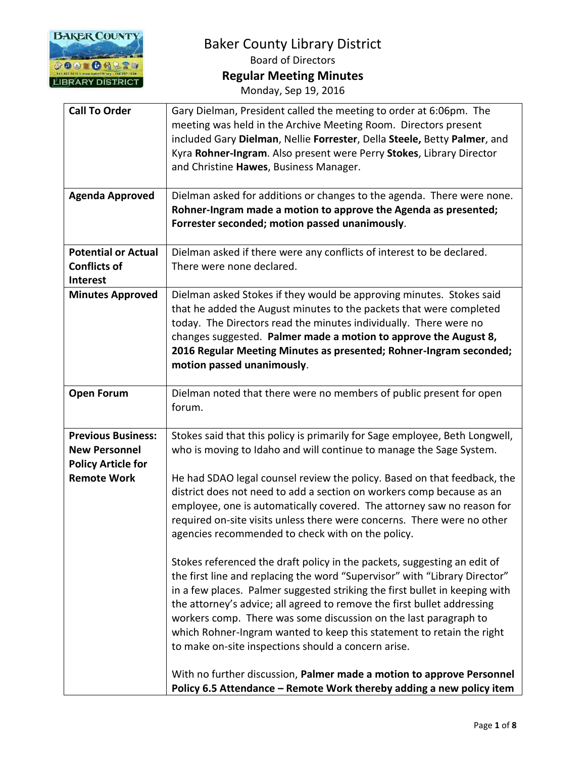

Monday, Sep 19, 2016

| <b>Call To Order</b>       | Gary Dielman, President called the meeting to order at 6:06pm. The          |
|----------------------------|-----------------------------------------------------------------------------|
|                            | meeting was held in the Archive Meeting Room. Directors present             |
|                            | included Gary Dielman, Nellie Forrester, Della Steele, Betty Palmer, and    |
|                            | Kyra Rohner-Ingram. Also present were Perry Stokes, Library Director        |
|                            | and Christine Hawes, Business Manager.                                      |
|                            |                                                                             |
| <b>Agenda Approved</b>     | Dielman asked for additions or changes to the agenda. There were none.      |
|                            | Rohner-Ingram made a motion to approve the Agenda as presented;             |
|                            | Forrester seconded; motion passed unanimously.                              |
|                            |                                                                             |
| <b>Potential or Actual</b> | Dielman asked if there were any conflicts of interest to be declared.       |
| <b>Conflicts of</b>        | There were none declared.                                                   |
| <b>Interest</b>            |                                                                             |
| <b>Minutes Approved</b>    | Dielman asked Stokes if they would be approving minutes. Stokes said        |
|                            | that he added the August minutes to the packets that were completed         |
|                            | today. The Directors read the minutes individually. There were no           |
|                            | changes suggested. Palmer made a motion to approve the August 8,            |
|                            | 2016 Regular Meeting Minutes as presented; Rohner-Ingram seconded;          |
|                            | motion passed unanimously.                                                  |
|                            |                                                                             |
| <b>Open Forum</b>          | Dielman noted that there were no members of public present for open         |
|                            | forum.                                                                      |
|                            |                                                                             |
| <b>Previous Business:</b>  | Stokes said that this policy is primarily for Sage employee, Beth Longwell, |
| <b>New Personnel</b>       | who is moving to Idaho and will continue to manage the Sage System.         |
| <b>Policy Article for</b>  |                                                                             |
| <b>Remote Work</b>         | He had SDAO legal counsel review the policy. Based on that feedback, the    |
|                            | district does not need to add a section on workers comp because as an       |
|                            | employee, one is automatically covered. The attorney saw no reason for      |
|                            | required on-site visits unless there were concerns. There were no other     |
|                            | agencies recommended to check with on the policy.                           |
|                            |                                                                             |
|                            | Stokes referenced the draft policy in the packets, suggesting an edit of    |
|                            | the first line and replacing the word "Supervisor" with "Library Director"  |
|                            | in a few places. Palmer suggested striking the first bullet in keeping with |
|                            | the attorney's advice; all agreed to remove the first bullet addressing     |
|                            | workers comp. There was some discussion on the last paragraph to            |
|                            | which Rohner-Ingram wanted to keep this statement to retain the right       |
|                            |                                                                             |
|                            | to make on-site inspections should a concern arise.                         |
|                            | With no further discussion, Palmer made a motion to approve Personnel       |
|                            | Policy 6.5 Attendance - Remote Work thereby adding a new policy item        |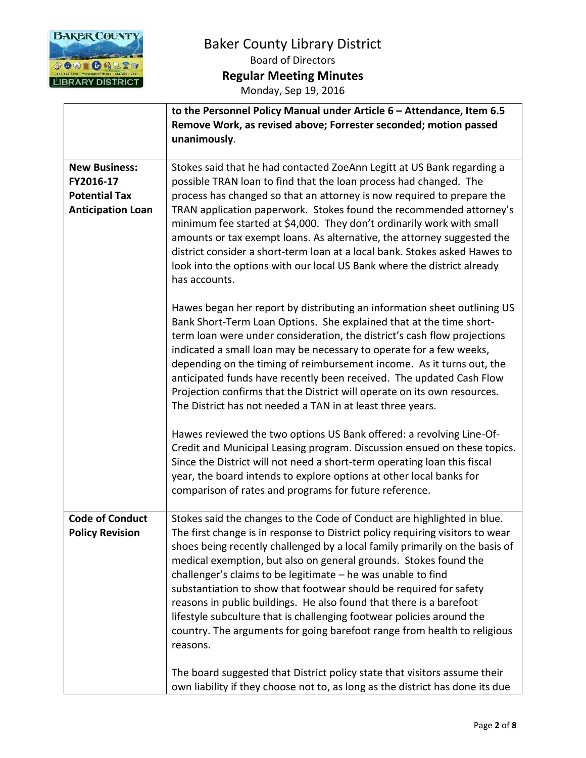

|                                                                                       | to the Personnel Policy Manual under Article 6 - Attendance, Item 6.5<br>Remove Work, as revised above; Forrester seconded; motion passed<br>unanimously.                                                                                                                                                                                                                                                                                                                                                                                                                                                                                                                                                                                                              |
|---------------------------------------------------------------------------------------|------------------------------------------------------------------------------------------------------------------------------------------------------------------------------------------------------------------------------------------------------------------------------------------------------------------------------------------------------------------------------------------------------------------------------------------------------------------------------------------------------------------------------------------------------------------------------------------------------------------------------------------------------------------------------------------------------------------------------------------------------------------------|
| <b>New Business:</b><br>FY2016-17<br><b>Potential Tax</b><br><b>Anticipation Loan</b> | Stokes said that he had contacted ZoeAnn Legitt at US Bank regarding a<br>possible TRAN loan to find that the loan process had changed. The<br>process has changed so that an attorney is now required to prepare the<br>TRAN application paperwork. Stokes found the recommended attorney's<br>minimum fee started at \$4,000. They don't ordinarily work with small<br>amounts or tax exempt loans. As alternative, the attorney suggested the<br>district consider a short-term loan at a local bank. Stokes asked Hawes to<br>look into the options with our local US Bank where the district already<br>has accounts.                                                                                                                                             |
|                                                                                       | Hawes began her report by distributing an information sheet outlining US<br>Bank Short-Term Loan Options. She explained that at the time short-<br>term loan were under consideration, the district's cash flow projections<br>indicated a small loan may be necessary to operate for a few weeks,<br>depending on the timing of reimbursement income. As it turns out, the<br>anticipated funds have recently been received. The updated Cash Flow<br>Projection confirms that the District will operate on its own resources.<br>The District has not needed a TAN in at least three years.                                                                                                                                                                          |
|                                                                                       | Hawes reviewed the two options US Bank offered: a revolving Line-Of-<br>Credit and Municipal Leasing program. Discussion ensued on these topics.<br>Since the District will not need a short-term operating loan this fiscal<br>year, the board intends to explore options at other local banks for<br>comparison of rates and programs for future reference.                                                                                                                                                                                                                                                                                                                                                                                                          |
| <b>Code of Conduct</b><br><b>Policy Revision</b>                                      | Stokes said the changes to the Code of Conduct are highlighted in blue.<br>The first change is in response to District policy requiring visitors to wear<br>shoes being recently challenged by a local family primarily on the basis of<br>medical exemption, but also on general grounds. Stokes found the<br>challenger's claims to be legitimate - he was unable to find<br>substantiation to show that footwear should be required for safety<br>reasons in public buildings. He also found that there is a barefoot<br>lifestyle subculture that is challenging footwear policies around the<br>country. The arguments for going barefoot range from health to religious<br>reasons.<br>The board suggested that District policy state that visitors assume their |
|                                                                                       | own liability if they choose not to, as long as the district has done its due                                                                                                                                                                                                                                                                                                                                                                                                                                                                                                                                                                                                                                                                                          |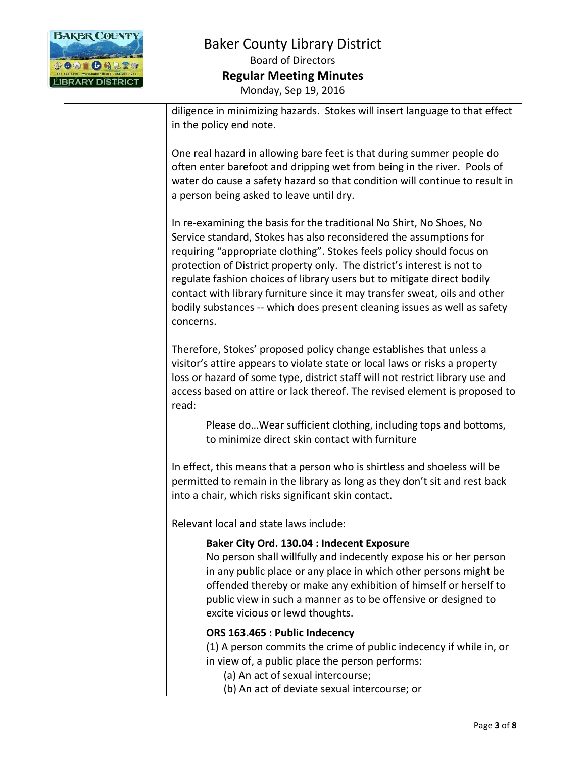

| diligence in minimizing hazards. Stokes will insert language to that effect<br>in the policy end note.                                                                                                                                                                                                                                                                                                                                                                                                                                            |
|---------------------------------------------------------------------------------------------------------------------------------------------------------------------------------------------------------------------------------------------------------------------------------------------------------------------------------------------------------------------------------------------------------------------------------------------------------------------------------------------------------------------------------------------------|
| One real hazard in allowing bare feet is that during summer people do<br>often enter barefoot and dripping wet from being in the river. Pools of<br>water do cause a safety hazard so that condition will continue to result in<br>a person being asked to leave until dry.                                                                                                                                                                                                                                                                       |
| In re-examining the basis for the traditional No Shirt, No Shoes, No<br>Service standard, Stokes has also reconsidered the assumptions for<br>requiring "appropriate clothing". Stokes feels policy should focus on<br>protection of District property only. The district's interest is not to<br>regulate fashion choices of library users but to mitigate direct bodily<br>contact with library furniture since it may transfer sweat, oils and other<br>bodily substances -- which does present cleaning issues as well as safety<br>concerns. |
| Therefore, Stokes' proposed policy change establishes that unless a<br>visitor's attire appears to violate state or local laws or risks a property<br>loss or hazard of some type, district staff will not restrict library use and<br>access based on attire or lack thereof. The revised element is proposed to<br>read:                                                                                                                                                                                                                        |
| Please do Wear sufficient clothing, including tops and bottoms,<br>to minimize direct skin contact with furniture                                                                                                                                                                                                                                                                                                                                                                                                                                 |
| In effect, this means that a person who is shirtless and shoeless will be<br>permitted to remain in the library as long as they don't sit and rest back<br>into a chair, which risks significant skin contact.                                                                                                                                                                                                                                                                                                                                    |
| Relevant local and state laws include:                                                                                                                                                                                                                                                                                                                                                                                                                                                                                                            |
| Baker City Ord. 130.04 : Indecent Exposure<br>No person shall willfully and indecently expose his or her person<br>in any public place or any place in which other persons might be<br>offended thereby or make any exhibition of himself or herself to<br>public view in such a manner as to be offensive or designed to<br>excite vicious or lewd thoughts.                                                                                                                                                                                     |
| ORS 163.465 : Public Indecency<br>(1) A person commits the crime of public indecency if while in, or<br>in view of, a public place the person performs:<br>(a) An act of sexual intercourse;<br>(b) An act of deviate sexual intercourse; or                                                                                                                                                                                                                                                                                                      |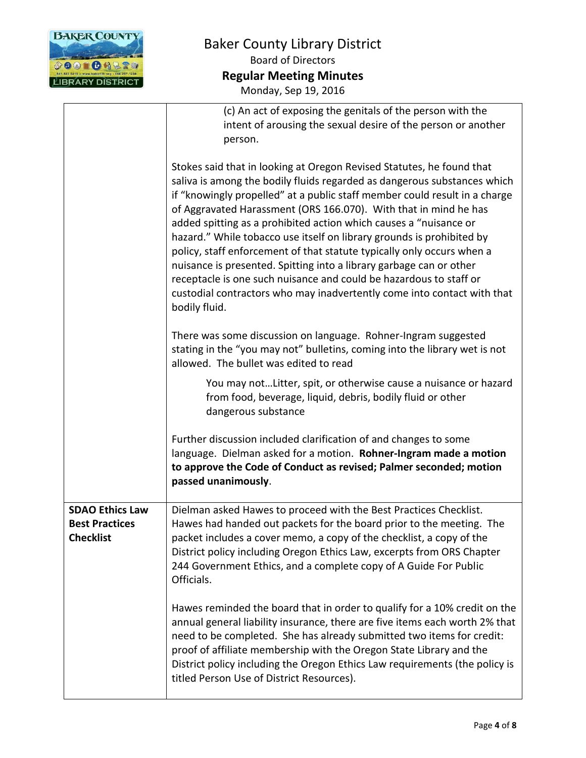

|                                                                     | (c) An act of exposing the genitals of the person with the                                                                                                                                                                                                                                                                                                                                                                                                                                                                                                                                                                                                                                                                                                           |
|---------------------------------------------------------------------|----------------------------------------------------------------------------------------------------------------------------------------------------------------------------------------------------------------------------------------------------------------------------------------------------------------------------------------------------------------------------------------------------------------------------------------------------------------------------------------------------------------------------------------------------------------------------------------------------------------------------------------------------------------------------------------------------------------------------------------------------------------------|
|                                                                     | intent of arousing the sexual desire of the person or another                                                                                                                                                                                                                                                                                                                                                                                                                                                                                                                                                                                                                                                                                                        |
|                                                                     | person.                                                                                                                                                                                                                                                                                                                                                                                                                                                                                                                                                                                                                                                                                                                                                              |
|                                                                     | Stokes said that in looking at Oregon Revised Statutes, he found that<br>saliva is among the bodily fluids regarded as dangerous substances which<br>if "knowingly propelled" at a public staff member could result in a charge<br>of Aggravated Harassment (ORS 166.070). With that in mind he has<br>added spitting as a prohibited action which causes a "nuisance or<br>hazard." While tobacco use itself on library grounds is prohibited by<br>policy, staff enforcement of that statute typically only occurs when a<br>nuisance is presented. Spitting into a library garbage can or other<br>receptacle is one such nuisance and could be hazardous to staff or<br>custodial contractors who may inadvertently come into contact with that<br>bodily fluid. |
|                                                                     | There was some discussion on language. Rohner-Ingram suggested<br>stating in the "you may not" bulletins, coming into the library wet is not<br>allowed. The bullet was edited to read                                                                                                                                                                                                                                                                                                                                                                                                                                                                                                                                                                               |
|                                                                     | You may notLitter, spit, or otherwise cause a nuisance or hazard<br>from food, beverage, liquid, debris, bodily fluid or other<br>dangerous substance                                                                                                                                                                                                                                                                                                                                                                                                                                                                                                                                                                                                                |
|                                                                     | Further discussion included clarification of and changes to some<br>language. Dielman asked for a motion. Rohner-Ingram made a motion<br>to approve the Code of Conduct as revised; Palmer seconded; motion<br>passed unanimously.                                                                                                                                                                                                                                                                                                                                                                                                                                                                                                                                   |
| <b>SDAO Ethics Law</b><br><b>Best Practices</b><br><b>Checklist</b> | Dielman asked Hawes to proceed with the Best Practices Checklist.<br>Hawes had handed out packets for the board prior to the meeting. The<br>packet includes a cover memo, a copy of the checklist, a copy of the<br>District policy including Oregon Ethics Law, excerpts from ORS Chapter<br>244 Government Ethics, and a complete copy of A Guide For Public<br>Officials.                                                                                                                                                                                                                                                                                                                                                                                        |
|                                                                     | Hawes reminded the board that in order to qualify for a 10% credit on the<br>annual general liability insurance, there are five items each worth 2% that<br>need to be completed. She has already submitted two items for credit:<br>proof of affiliate membership with the Oregon State Library and the<br>District policy including the Oregon Ethics Law requirements (the policy is<br>titled Person Use of District Resources).                                                                                                                                                                                                                                                                                                                                 |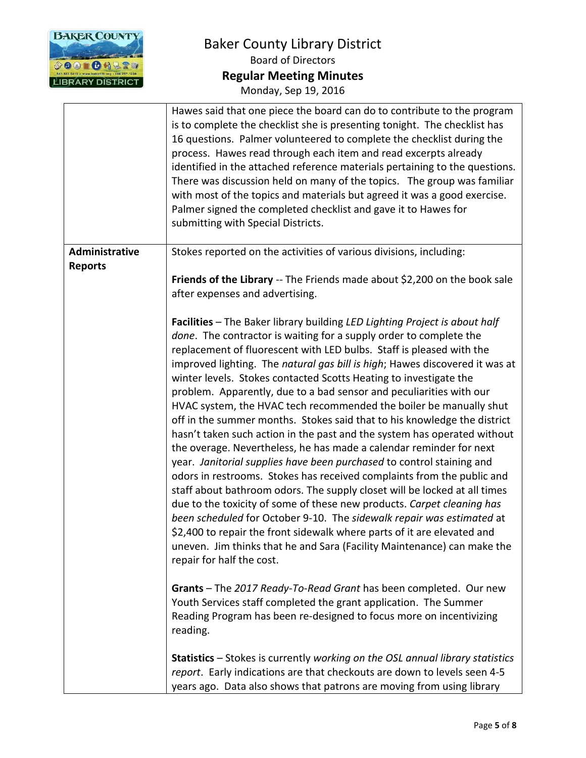

|                                  | Hawes said that one piece the board can do to contribute to the program<br>is to complete the checklist she is presenting tonight. The checklist has<br>16 questions. Palmer volunteered to complete the checklist during the<br>process. Hawes read through each item and read excerpts already<br>identified in the attached reference materials pertaining to the questions.<br>There was discussion held on many of the topics. The group was familiar<br>with most of the topics and materials but agreed it was a good exercise.<br>Palmer signed the completed checklist and gave it to Hawes for<br>submitting with Special Districts.                                                                                                                                                                                                                                                                                                                                                                                                                                                                                                                                                                                                                                                                                                                                                                                                                                                                                                                                                                                                                                                                                       |
|----------------------------------|--------------------------------------------------------------------------------------------------------------------------------------------------------------------------------------------------------------------------------------------------------------------------------------------------------------------------------------------------------------------------------------------------------------------------------------------------------------------------------------------------------------------------------------------------------------------------------------------------------------------------------------------------------------------------------------------------------------------------------------------------------------------------------------------------------------------------------------------------------------------------------------------------------------------------------------------------------------------------------------------------------------------------------------------------------------------------------------------------------------------------------------------------------------------------------------------------------------------------------------------------------------------------------------------------------------------------------------------------------------------------------------------------------------------------------------------------------------------------------------------------------------------------------------------------------------------------------------------------------------------------------------------------------------------------------------------------------------------------------------|
| Administrative<br><b>Reports</b> | Stokes reported on the activities of various divisions, including:<br>Friends of the Library -- The Friends made about \$2,200 on the book sale<br>after expenses and advertising.<br>Facilities - The Baker library building LED Lighting Project is about half<br>done. The contractor is waiting for a supply order to complete the<br>replacement of fluorescent with LED bulbs. Staff is pleased with the<br>improved lighting. The natural gas bill is high; Hawes discovered it was at<br>winter levels. Stokes contacted Scotts Heating to investigate the<br>problem. Apparently, due to a bad sensor and peculiarities with our<br>HVAC system, the HVAC tech recommended the boiler be manually shut<br>off in the summer months. Stokes said that to his knowledge the district<br>hasn't taken such action in the past and the system has operated without<br>the overage. Nevertheless, he has made a calendar reminder for next<br>year. Janitorial supplies have been purchased to control staining and<br>odors in restrooms. Stokes has received complaints from the public and<br>staff about bathroom odors. The supply closet will be locked at all times<br>due to the toxicity of some of these new products. Carpet cleaning has<br>been scheduled for October 9-10. The sidewalk repair was estimated at<br>\$2,400 to repair the front sidewalk where parts of it are elevated and<br>uneven. Jim thinks that he and Sara (Facility Maintenance) can make the<br>repair for half the cost.<br>Grants - The 2017 Ready-To-Read Grant has been completed. Our new<br>Youth Services staff completed the grant application. The Summer<br>Reading Program has been re-designed to focus more on incentivizing |
|                                  | reading.<br>Statistics - Stokes is currently working on the OSL annual library statistics<br>report. Early indications are that checkouts are down to levels seen 4-5<br>years ago. Data also shows that patrons are moving from using library                                                                                                                                                                                                                                                                                                                                                                                                                                                                                                                                                                                                                                                                                                                                                                                                                                                                                                                                                                                                                                                                                                                                                                                                                                                                                                                                                                                                                                                                                       |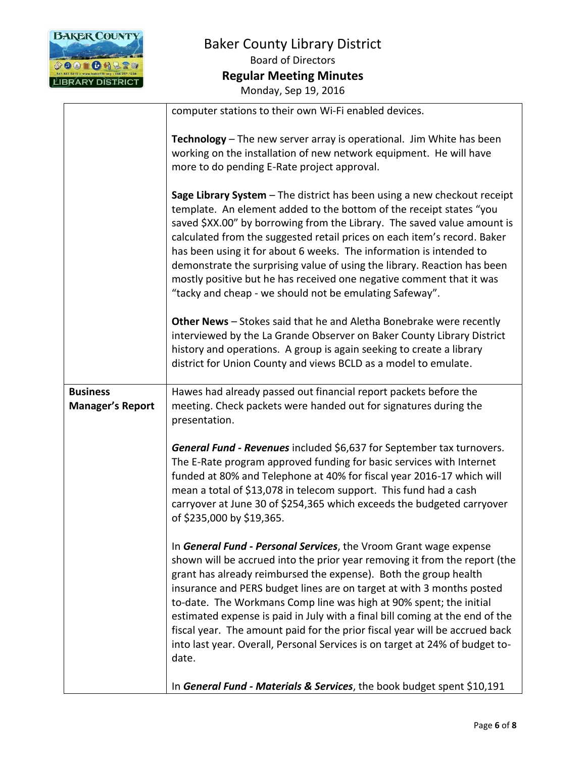

|                                            | computer stations to their own Wi-Fi enabled devices.                                                                                                                                                                                                                                                                                                                                                                                                                                                                                                                                                                      |
|--------------------------------------------|----------------------------------------------------------------------------------------------------------------------------------------------------------------------------------------------------------------------------------------------------------------------------------------------------------------------------------------------------------------------------------------------------------------------------------------------------------------------------------------------------------------------------------------------------------------------------------------------------------------------------|
|                                            | Technology - The new server array is operational. Jim White has been<br>working on the installation of new network equipment. He will have<br>more to do pending E-Rate project approval.                                                                                                                                                                                                                                                                                                                                                                                                                                  |
|                                            | Sage Library System - The district has been using a new checkout receipt<br>template. An element added to the bottom of the receipt states "you<br>saved \$XX.00" by borrowing from the Library. The saved value amount is<br>calculated from the suggested retail prices on each item's record. Baker<br>has been using it for about 6 weeks. The information is intended to<br>demonstrate the surprising value of using the library. Reaction has been<br>mostly positive but he has received one negative comment that it was<br>"tacky and cheap - we should not be emulating Safeway".                               |
|                                            | Other News - Stokes said that he and Aletha Bonebrake were recently<br>interviewed by the La Grande Observer on Baker County Library District<br>history and operations. A group is again seeking to create a library<br>district for Union County and views BCLD as a model to emulate.                                                                                                                                                                                                                                                                                                                                   |
| <b>Business</b><br><b>Manager's Report</b> | Hawes had already passed out financial report packets before the<br>meeting. Check packets were handed out for signatures during the<br>presentation.                                                                                                                                                                                                                                                                                                                                                                                                                                                                      |
|                                            | General Fund - Revenues included \$6,637 for September tax turnovers.<br>The E-Rate program approved funding for basic services with Internet<br>funded at 80% and Telephone at 40% for fiscal year 2016-17 which will<br>mean a total of \$13,078 in telecom support. This fund had a cash<br>carryover at June 30 of \$254,365 which exceeds the budgeted carryover<br>of \$235,000 by \$19,365.                                                                                                                                                                                                                         |
|                                            | In General Fund - Personal Services, the Vroom Grant wage expense<br>shown will be accrued into the prior year removing it from the report (the<br>grant has already reimbursed the expense). Both the group health<br>insurance and PERS budget lines are on target at with 3 months posted<br>to-date. The Workmans Comp line was high at 90% spent; the initial<br>estimated expense is paid in July with a final bill coming at the end of the<br>fiscal year. The amount paid for the prior fiscal year will be accrued back<br>into last year. Overall, Personal Services is on target at 24% of budget to-<br>date. |
|                                            | In General Fund - Materials & Services, the book budget spent \$10,191                                                                                                                                                                                                                                                                                                                                                                                                                                                                                                                                                     |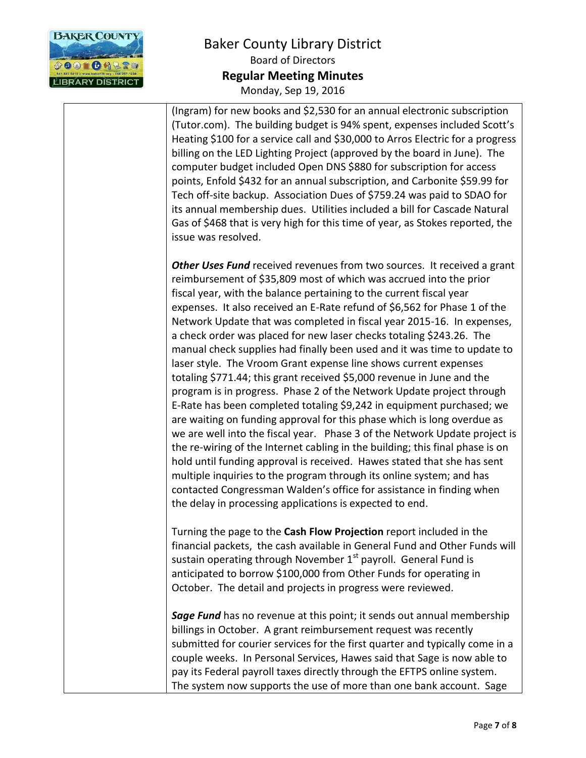

(Ingram) for new books and \$2,530 for an annual electronic subscription (Tutor.com). The building budget is 94% spent, expenses included Scott's Heating \$100 for a service call and \$30,000 to Arros Electric for a progress billing on the LED Lighting Project (approved by the board in June). The computer budget included Open DNS \$880 for subscription for access points, Enfold \$432 for an annual subscription, and Carbonite \$59.99 for Tech off-site backup. Association Dues of \$759.24 was paid to SDAO for its annual membership dues. Utilities included a bill for Cascade Natural Gas of \$468 that is very high for this time of year, as Stokes reported, the issue was resolved.

*Other Uses Fund* received revenues from two sources. It received a grant reimbursement of \$35,809 most of which was accrued into the prior fiscal year, with the balance pertaining to the current fiscal year expenses. It also received an E-Rate refund of \$6,562 for Phase 1 of the Network Update that was completed in fiscal year 2015-16. In expenses, a check order was placed for new laser checks totaling \$243.26. The manual check supplies had finally been used and it was time to update to laser style. The Vroom Grant expense line shows current expenses totaling \$771.44; this grant received \$5,000 revenue in June and the program is in progress. Phase 2 of the Network Update project through E-Rate has been completed totaling \$9,242 in equipment purchased; we are waiting on funding approval for this phase which is long overdue as we are well into the fiscal year. Phase 3 of the Network Update project is the re-wiring of the Internet cabling in the building; this final phase is on hold until funding approval is received. Hawes stated that she has sent multiple inquiries to the program through its online system; and has contacted Congressman Walden's office for assistance in finding when the delay in processing applications is expected to end.

Turning the page to the **Cash Flow Projection** report included in the financial packets, the cash available in General Fund and Other Funds will sustain operating through November  $1<sup>st</sup>$  payroll. General Fund is anticipated to borrow \$100,000 from Other Funds for operating in October. The detail and projects in progress were reviewed.

*Sage Fund* has no revenue at this point; it sends out annual membership billings in October. A grant reimbursement request was recently submitted for courier services for the first quarter and typically come in a couple weeks. In Personal Services, Hawes said that Sage is now able to pay its Federal payroll taxes directly through the EFTPS online system. The system now supports the use of more than one bank account. Sage